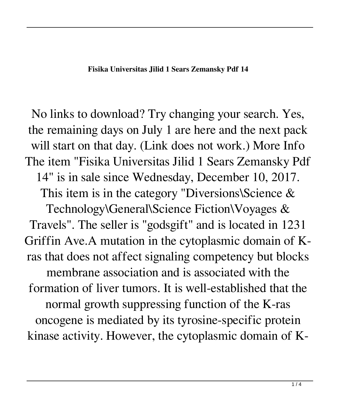No links to download? Try changing your search. Yes, the remaining days on July 1 are here and the next pack will start on that day. (Link does not work.) More Info The item "Fisika Universitas Jilid 1 Sears Zemansky Pdf 14" is in sale since Wednesday, December 10, 2017. This item is in the category "Diversions\Science &

Technology\General\Science Fiction\Voyages & Travels". The seller is "godsgift" and is located in 1231 Griffin Ave.A mutation in the cytoplasmic domain of Kras that does not affect signaling competency but blocks membrane association and is associated with the formation of liver tumors. It is well-established that the normal growth suppressing function of the K-ras oncogene is mediated by its tyrosine-specific protein kinase activity. However, the cytoplasmic domain of K-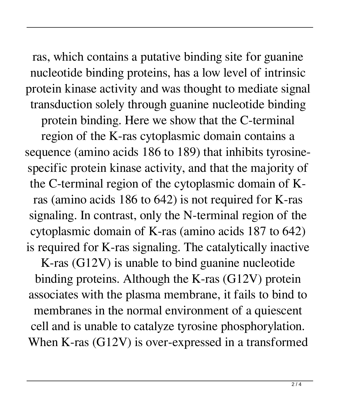ras, which contains a putative binding site for guanine nucleotide binding proteins, has a low level of intrinsic protein kinase activity and was thought to mediate signal transduction solely through guanine nucleotide binding protein binding. Here we show that the C-terminal region of the K-ras cytoplasmic domain contains a sequence (amino acids 186 to 189) that inhibits tyrosinespecific protein kinase activity, and that the majority of the C-terminal region of the cytoplasmic domain of Kras (amino acids 186 to 642) is not required for K-ras signaling. In contrast, only the N-terminal region of the cytoplasmic domain of K-ras (amino acids 187 to 642) is required for K-ras signaling. The catalytically inactive K-ras (G12V) is unable to bind guanine nucleotide

binding proteins. Although the K-ras (G12V) protein associates with the plasma membrane, it fails to bind to membranes in the normal environment of a quiescent cell and is unable to catalyze tyrosine phosphorylation. When K-ras (G12V) is over-expressed in a transformed